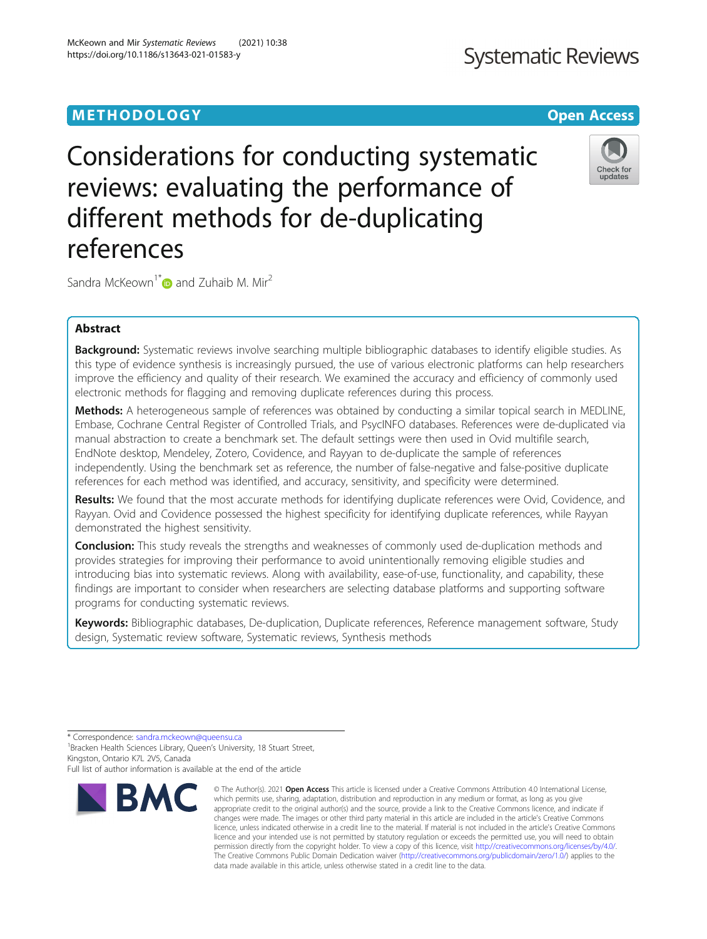# METHODOLOGY CONTROL CONTROL CONTROL CONTROL CONTROL CONTROL CONTROL CONTROL CONTROL CONTROL CONTROL CONTROL CO

Considerations for conducting systematic reviews: evaluating the performance of different methods for de-duplicating references

Sandra McKeown<sup>1[\\*](http://orcid.org/0000-0002-2728-6702)</sup> and Zuhaib M. Mir<sup>2</sup>

# Abstract

Background: Systematic reviews involve searching multiple bibliographic databases to identify eligible studies. As this type of evidence synthesis is increasingly pursued, the use of various electronic platforms can help researchers improve the efficiency and quality of their research. We examined the accuracy and efficiency of commonly used electronic methods for flagging and removing duplicate references during this process.

Methods: A heterogeneous sample of references was obtained by conducting a similar topical search in MEDLINE, Embase, Cochrane Central Register of Controlled Trials, and PsycINFO databases. References were de-duplicated via manual abstraction to create a benchmark set. The default settings were then used in Ovid multifile search, EndNote desktop, Mendeley, Zotero, Covidence, and Rayyan to de-duplicate the sample of references independently. Using the benchmark set as reference, the number of false-negative and false-positive duplicate references for each method was identified, and accuracy, sensitivity, and specificity were determined.

Results: We found that the most accurate methods for identifying duplicate references were Ovid, Covidence, and Rayyan. Ovid and Covidence possessed the highest specificity for identifying duplicate references, while Rayyan demonstrated the highest sensitivity.

**Conclusion:** This study reveals the strengths and weaknesses of commonly used de-duplication methods and provides strategies for improving their performance to avoid unintentionally removing eligible studies and introducing bias into systematic reviews. Along with availability, ease-of-use, functionality, and capability, these findings are important to consider when researchers are selecting database platforms and supporting software programs for conducting systematic reviews.

Keywords: Bibliographic databases, De-duplication, Duplicate references, Reference management software, Study design, Systematic review software, Systematic reviews, Synthesis methods

<sup>1</sup> Bracken Health Sciences Library, Queen's University, 18 Stuart Street, Kingston, Ontario K7L 2V5, Canada



<sup>©</sup> The Author(s), 2021 **Open Access** This article is licensed under a Creative Commons Attribution 4.0 International License, which permits use, sharing, adaptation, distribution and reproduction in any medium or format, as long as you give appropriate credit to the original author(s) and the source, provide a link to the Creative Commons licence, and indicate if changes were made. The images or other third party material in this article are included in the article's Creative Commons licence, unless indicated otherwise in a credit line to the material. If material is not included in the article's Creative Commons licence and your intended use is not permitted by statutory regulation or exceeds the permitted use, you will need to obtain permission directly from the copyright holder. To view a copy of this licence, visit [http://creativecommons.org/licenses/by/4.0/.](http://creativecommons.org/licenses/by/4.0/) The Creative Commons Public Domain Dedication waiver [\(http://creativecommons.org/publicdomain/zero/1.0/](http://creativecommons.org/publicdomain/zero/1.0/)) applies to the data made available in this article, unless otherwise stated in a credit line to the data.



Check for updates



<sup>\*</sup> Correspondence: [sandra.mckeown@queensu.ca](mailto:sandra.mckeown@queensu.ca) <sup>1</sup>

Full list of author information is available at the end of the article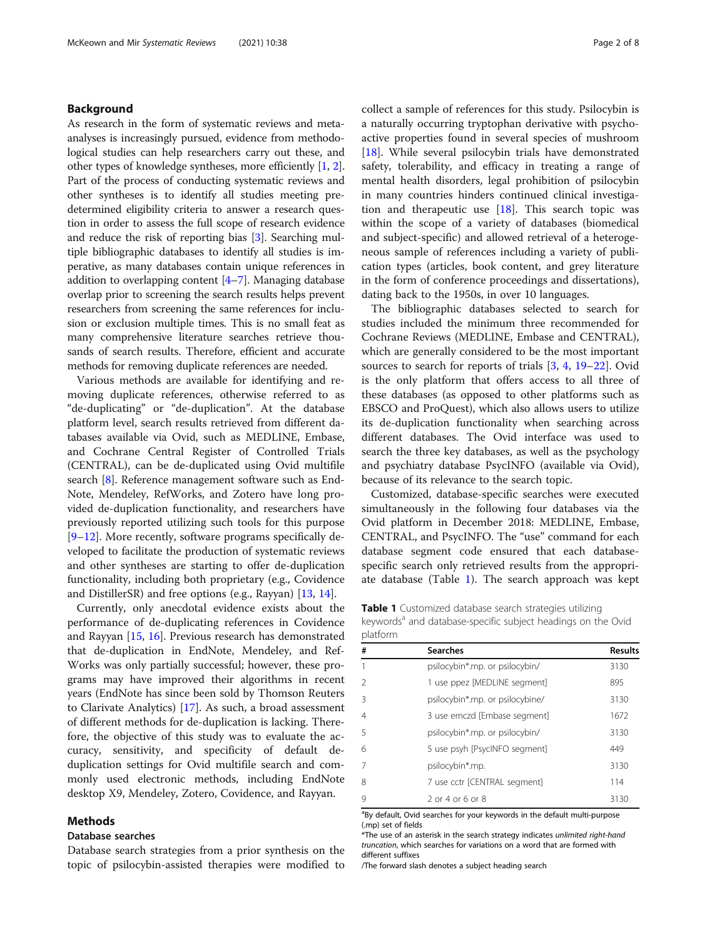# Background

As research in the form of systematic reviews and metaanalyses is increasingly pursued, evidence from methodological studies can help researchers carry out these, and other types of knowledge syntheses, more efficiently [[1,](#page-7-0) [2](#page-7-0)]. Part of the process of conducting systematic reviews and other syntheses is to identify all studies meeting predetermined eligibility criteria to answer a research question in order to assess the full scope of research evidence and reduce the risk of reporting bias [[3\]](#page-7-0). Searching multiple bibliographic databases to identify all studies is imperative, as many databases contain unique references in addition to overlapping content  $[4-7]$  $[4-7]$  $[4-7]$  $[4-7]$  $[4-7]$ . Managing database overlap prior to screening the search results helps prevent researchers from screening the same references for inclusion or exclusion multiple times. This is no small feat as many comprehensive literature searches retrieve thousands of search results. Therefore, efficient and accurate methods for removing duplicate references are needed.

Various methods are available for identifying and removing duplicate references, otherwise referred to as "de-duplicating" or "de-duplication". At the database platform level, search results retrieved from different databases available via Ovid, such as MEDLINE, Embase, and Cochrane Central Register of Controlled Trials (CENTRAL), can be de-duplicated using Ovid multifile search [[8\]](#page-7-0). Reference management software such as End-Note, Mendeley, RefWorks, and Zotero have long provided de-duplication functionality, and researchers have previously reported utilizing such tools for this purpose [[9](#page-7-0)–[12\]](#page-7-0). More recently, software programs specifically developed to facilitate the production of systematic reviews and other syntheses are starting to offer de-duplication functionality, including both proprietary (e.g., Covidence and DistillerSR) and free options (e.g., Rayyan) [[13,](#page-7-0) [14](#page-7-0)].

Currently, only anecdotal evidence exists about the performance of de-duplicating references in Covidence and Rayyan [[15,](#page-7-0) [16\]](#page-7-0). Previous research has demonstrated that de-duplication in EndNote, Mendeley, and Ref-Works was only partially successful; however, these programs may have improved their algorithms in recent years (EndNote has since been sold by Thomson Reuters to Clarivate Analytics) [[17\]](#page-7-0). As such, a broad assessment of different methods for de-duplication is lacking. Therefore, the objective of this study was to evaluate the accuracy, sensitivity, and specificity of default deduplication settings for Ovid multifile search and commonly used electronic methods, including EndNote desktop X9, Mendeley, Zotero, Covidence, and Rayyan.

# Methods

# Database searches

Database search strategies from a prior synthesis on the topic of psilocybin-assisted therapies were modified to collect a sample of references for this study. Psilocybin is a naturally occurring tryptophan derivative with psychoactive properties found in several species of mushroom [[18\]](#page-7-0). While several psilocybin trials have demonstrated safety, tolerability, and efficacy in treating a range of mental health disorders, legal prohibition of psilocybin in many countries hinders continued clinical investigation and therapeutic use [\[18](#page-7-0)]. This search topic was within the scope of a variety of databases (biomedical and subject-specific) and allowed retrieval of a heterogeneous sample of references including a variety of publication types (articles, book content, and grey literature in the form of conference proceedings and dissertations), dating back to the 1950s, in over 10 languages.

The bibliographic databases selected to search for studies included the minimum three recommended for Cochrane Reviews (MEDLINE, Embase and CENTRAL), which are generally considered to be the most important sources to search for reports of trials [[3,](#page-7-0) [4](#page-7-0), [19](#page-7-0)–[22](#page-7-0)]. Ovid is the only platform that offers access to all three of these databases (as opposed to other platforms such as EBSCO and ProQuest), which also allows users to utilize its de-duplication functionality when searching across different databases. The Ovid interface was used to search the three key databases, as well as the psychology and psychiatry database PsycINFO (available via Ovid), because of its relevance to the search topic.

Customized, database-specific searches were executed simultaneously in the following four databases via the Ovid platform in December 2018: MEDLINE, Embase, CENTRAL, and PsycINFO. The "use" command for each database segment code ensured that each databasespecific search only retrieved results from the appropriate database (Table 1). The search approach was kept

Table 1 Customized database search strategies utilizing keywords<sup>a</sup> and database-specific subject headings on the Ovid platform

| #              | <b>Searches</b>                 | <b>Results</b> |
|----------------|---------------------------------|----------------|
| 1              | psilocybin*.mp. or psilocybin/  | 3130           |
| $\mathfrak{D}$ | 1 use ppez [MEDLINE segment]    | 895            |
| 3              | psilocybin*.mp. or psilocybine/ | 3130           |
| $\overline{4}$ | 3 use emczd [Embase segment]    | 1672           |
| 5              | psilocybin*.mp. or psilocybin/  | 3130           |
| 6              | 5 use psyh [PsycINFO segment]   | 449            |
| $\overline{7}$ | psilocybin*.mp.                 | 3130           |
| 8              | 7 use cctr [CENTRAL segment]    | 114            |
| 9              | $2$ or 4 or 6 or 8              | 3130           |

<sup>a</sup>By default, Ovid searches for your keywords in the default multi-purpose (.mp) set of fields

\*The use of an asterisk in the search strategy indicates unlimited right-hand truncation, which searches for variations on a word that are formed with different suffixes

/The forward slash denotes a subject heading search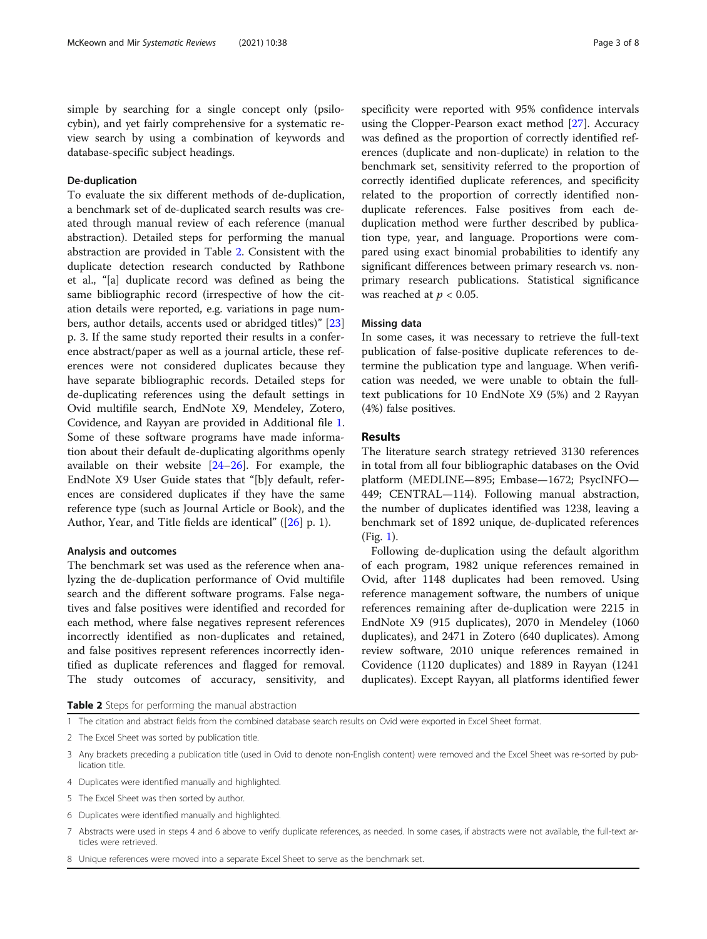simple by searching for a single concept only (psilocybin), and yet fairly comprehensive for a systematic review search by using a combination of keywords and database-specific subject headings.

# De-duplication

To evaluate the six different methods of de-duplication, a benchmark set of de-duplicated search results was created through manual review of each reference (manual abstraction). Detailed steps for performing the manual abstraction are provided in Table 2. Consistent with the duplicate detection research conducted by Rathbone et al., "[a] duplicate record was defined as being the same bibliographic record (irrespective of how the citation details were reported, e.g. variations in page numbers, author details, accents used or abridged titles)" [[23](#page-7-0)] p. 3. If the same study reported their results in a conference abstract/paper as well as a journal article, these references were not considered duplicates because they have separate bibliographic records. Detailed steps for de-duplicating references using the default settings in Ovid multifile search, EndNote X9, Mendeley, Zotero, Covidence, and Rayyan are provided in Additional file [1](#page-6-0). Some of these software programs have made information about their default de-duplicating algorithms openly available on their website [[24](#page-7-0)–[26](#page-7-0)]. For example, the EndNote X9 User Guide states that "[b]y default, references are considered duplicates if they have the same reference type (such as Journal Article or Book), and the Author, Year, and Title fields are identical" ([\[26](#page-7-0)] p. 1).

# Analysis and outcomes

The benchmark set was used as the reference when analyzing the de-duplication performance of Ovid multifile search and the different software programs. False negatives and false positives were identified and recorded for each method, where false negatives represent references incorrectly identified as non-duplicates and retained, and false positives represent references incorrectly identified as duplicate references and flagged for removal. The study outcomes of accuracy, sensitivity, and specificity were reported with 95% confidence intervals using the Clopper-Pearson exact method [[27\]](#page-7-0). Accuracy was defined as the proportion of correctly identified references (duplicate and non-duplicate) in relation to the benchmark set, sensitivity referred to the proportion of correctly identified duplicate references, and specificity related to the proportion of correctly identified nonduplicate references. False positives from each deduplication method were further described by publication type, year, and language. Proportions were compared using exact binomial probabilities to identify any significant differences between primary research vs. nonprimary research publications. Statistical significance was reached at  $p < 0.05$ .

# Missing data

In some cases, it was necessary to retrieve the full-text publication of false-positive duplicate references to determine the publication type and language. When verification was needed, we were unable to obtain the fulltext publications for 10 EndNote X9 (5%) and 2 Rayyan (4%) false positives.

# Results

The literature search strategy retrieved 3130 references in total from all four bibliographic databases on the Ovid platform (MEDLINE—895; Embase—1672; PsycINFO— 449; CENTRAL—114). Following manual abstraction, the number of duplicates identified was 1238, leaving a benchmark set of 1892 unique, de-duplicated references (Fig. [1](#page-3-0)).

Following de-duplication using the default algorithm of each program, 1982 unique references remained in Ovid, after 1148 duplicates had been removed. Using reference management software, the numbers of unique references remaining after de-duplication were 2215 in EndNote X9 (915 duplicates), 2070 in Mendeley (1060 duplicates), and 2471 in Zotero (640 duplicates). Among review software, 2010 unique references remained in Covidence (1120 duplicates) and 1889 in Rayyan (1241 duplicates). Except Rayyan, all platforms identified fewer

Table 2 Steps for performing the manual abstraction

- 1 The citation and abstract fields from the combined database search results on Ovid were exported in Excel Sheet format.
- 2 The Excel Sheet was sorted by publication title.
- 3 Any brackets preceding a publication title (used in Ovid to denote non-English content) were removed and the Excel Sheet was re-sorted by publication title.
- 4 Duplicates were identified manually and highlighted.
- 5 The Excel Sheet was then sorted by author.
- 6 Duplicates were identified manually and highlighted.
- 7 Abstracts were used in steps 4 and 6 above to verify duplicate references, as needed. In some cases, if abstracts were not available, the full-text articles were retrieved.
- 8 Unique references were moved into a separate Excel Sheet to serve as the benchmark set.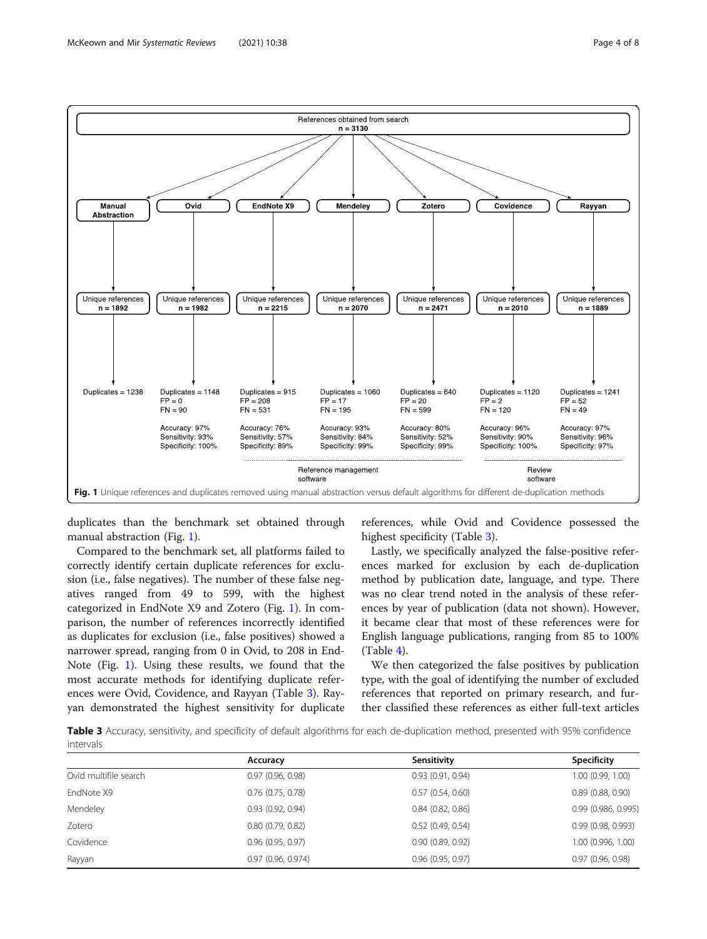

<span id="page-3-0"></span>

duplicates than the benchmark set obtained through manual abstraction (Fig. 1).

Compared to the benchmark set, all platforms failed to correctly identify certain duplicate references for exclusion (i.e., false negatives). The number of these false negatives ranged from 49 to 599, with the highest categorized in EndNote X9 and Zotero (Fig. 1). In comparison, the number of references incorrectly identified as duplicates for exclusion (i.e., false positives) showed a narrower spread, ranging from 0 in Ovid, to 208 in End-Note (Fig. 1). Using these results, we found that the most accurate methods for identifying duplicate references were Ovid, Covidence, and Rayyan (Table 3). Rayyan demonstrated the highest sensitivity for duplicate

references, while Ovid and Covidence possessed the highest specificity (Table 3).

Lastly, we specifically analyzed the false-positive references marked for exclusion by each de-duplication method by publication date, language, and type. There was no clear trend noted in the analysis of these references by year of publication (data not shown). However, it became clear that most of these references were for English language publications, ranging from 85 to 100% (Table [4\)](#page-4-0).

We then categorized the false positives by publication type, with the goal of identifying the number of excluded references that reported on primary research, and further classified these references as either full-text articles

Table 3 Accuracy, sensitivity, and specificity of default algorithms for each de-duplication method, presented with 95% confidence intervals

|                       | Accuracy            | Sensitivity           | <b>Specificity</b>    |
|-----------------------|---------------------|-----------------------|-----------------------|
| Ovid multifile search | 0.97(0.96, 0.98)    | 0.93(0.91, 0.94)      | 1.00(0.99, 1.00)      |
| EndNote X9            | $0.76$ (0.75, 0.78) | 0.57(0.54, 0.60)      | $0.89$ $(0.88, 0.90)$ |
| Mendeley              | 0.93(0.92, 0.94)    | 0.84(0.82, 0.86)      | 0.99(0.986, 0.995)    |
| Zotero                | 0.80(0.79, 0.82)    | $0.52$ (0.49, 0.54)   | 0.99(0.98, 0.993)     |
| Covidence             | 0.96(0.95, 0.97)    | 0.90(0.89, 0.92)      | 1.00 (0.996, 1.00)    |
| Rayyan                | 0.97(0.96, 0.974)   | $0.96$ $(0.95, 0.97)$ | 0.97(0.96, 0.98)      |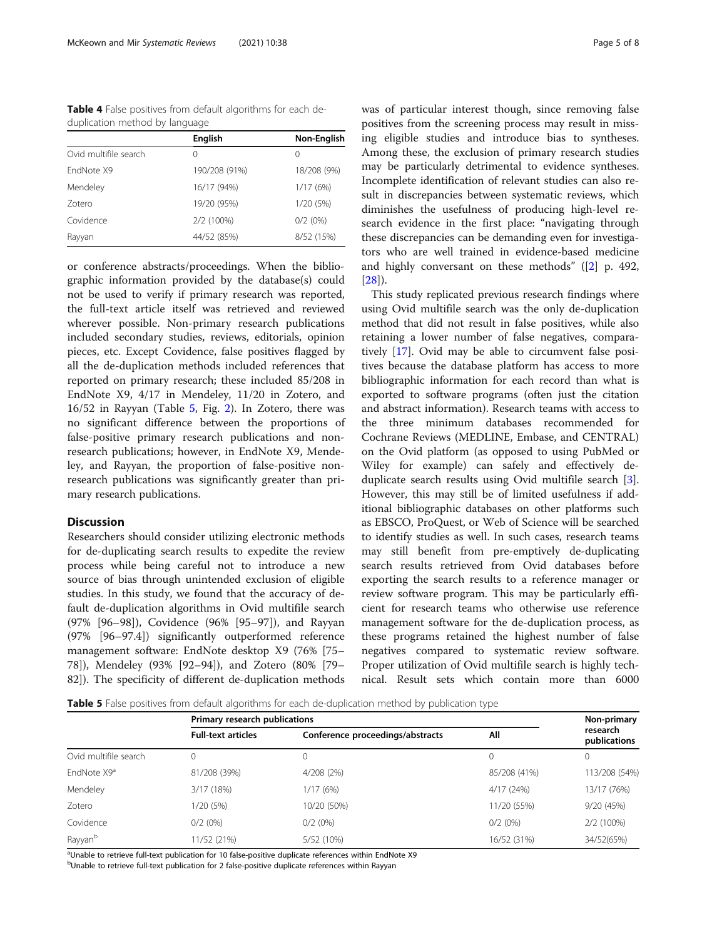<span id="page-4-0"></span>Table 4 False positives from default algorithms for each deduplication method by language

|                       | <b>English</b>   | Non-English      |
|-----------------------|------------------|------------------|
| Ovid multifile search | $\left( \right)$ | $\left( \right)$ |
| FndNote X9            | 190/208 (91%)    | 18/208 (9%)      |
| Mendeley              | 16/17 (94%)      | 1/17(6%)         |
| Zotero                | 19/20 (95%)      | 1/20 (5%)        |
| Covidence             | 2/2 (100%)       | $0/2$ (0%)       |
| Rayyan                | 44/52 (85%)      | 8/52 (15%)       |

or conference abstracts/proceedings. When the bibliographic information provided by the database(s) could not be used to verify if primary research was reported, the full-text article itself was retrieved and reviewed wherever possible. Non-primary research publications included secondary studies, reviews, editorials, opinion pieces, etc. Except Covidence, false positives flagged by all the de-duplication methods included references that reported on primary research; these included 85/208 in EndNote X9, 4/17 in Mendeley, 11/20 in Zotero, and 16/52 in Rayyan (Table 5, Fig. [2](#page-5-0)). In Zotero, there was no significant difference between the proportions of false-positive primary research publications and nonresearch publications; however, in EndNote X9, Mendeley, and Rayyan, the proportion of false-positive nonresearch publications was significantly greater than primary research publications.

## **Discussion**

Researchers should consider utilizing electronic methods for de-duplicating search results to expedite the review process while being careful not to introduce a new source of bias through unintended exclusion of eligible studies. In this study, we found that the accuracy of default de-duplication algorithms in Ovid multifile search (97% [96–98]), Covidence (96% [95–97]), and Rayyan (97% [96–97.4]) significantly outperformed reference management software: EndNote desktop X9 (76% [75– 78]), Mendeley (93% [92–94]), and Zotero (80% [79– 82]). The specificity of different de-duplication methods was of particular interest though, since removing false positives from the screening process may result in missing eligible studies and introduce bias to syntheses. Among these, the exclusion of primary research studies may be particularly detrimental to evidence syntheses. Incomplete identification of relevant studies can also result in discrepancies between systematic reviews, which diminishes the usefulness of producing high-level research evidence in the first place: "navigating through these discrepancies can be demanding even for investigators who are well trained in evidence-based medicine and highly conversant on these methods" ([\[2\]](#page-7-0) p. 492,  $[28]$  $[28]$ .

This study replicated previous research findings where using Ovid multifile search was the only de-duplication method that did not result in false positives, while also retaining a lower number of false negatives, comparatively [[17\]](#page-7-0). Ovid may be able to circumvent false positives because the database platform has access to more bibliographic information for each record than what is exported to software programs (often just the citation and abstract information). Research teams with access to the three minimum databases recommended for Cochrane Reviews (MEDLINE, Embase, and CENTRAL) on the Ovid platform (as opposed to using PubMed or Wiley for example) can safely and effectively deduplicate search results using Ovid multifile search [\[3](#page-7-0)]. However, this may still be of limited usefulness if additional bibliographic databases on other platforms such as EBSCO, ProQuest, or Web of Science will be searched to identify studies as well. In such cases, research teams may still benefit from pre-emptively de-duplicating search results retrieved from Ovid databases before exporting the search results to a reference manager or review software program. This may be particularly efficient for research teams who otherwise use reference management software for the de-duplication process, as these programs retained the highest number of false negatives compared to systematic review software. Proper utilization of Ovid multifile search is highly technical. Result sets which contain more than 6000

Table 5 False positives from default algorithms for each de-duplication method by publication type

|                         | Primary research publications |                                  |              | Non-primary              |
|-------------------------|-------------------------------|----------------------------------|--------------|--------------------------|
|                         | <b>Full-text articles</b>     | Conference proceedings/abstracts | All          | research<br>publications |
| Ovid multifile search   | 0                             |                                  |              |                          |
| EndNote X9 <sup>a</sup> | 81/208 (39%)                  | 4/208 (2%)                       | 85/208 (41%) | 113/208 (54%)            |
| Mendeley                | 3/17 (18%)                    | 1/17(6%)                         | 4/17(24%)    | 13/17 (76%)              |
| Zotero                  | 1/20 (5%)                     | 10/20 (50%)                      | 11/20 (55%)  | 9/20(45%)                |
| Covidence               | $0/2$ (0%)                    | $0/2(0\%)$                       | $0/2$ (0%)   | 2/2 (100%)               |
| Rayyan <sup>b</sup>     | 1/52 (21%)                    | 5/52 (10%)                       | 16/52 (31%)  | 34/52(65%)               |

<sup>a</sup>Unable to retrieve full-text publication for 10 false-positive duplicate references within EndNote X9

<sup>b</sup>Unable to retrieve full-text publication for 2 false-positive duplicate references within Rayyan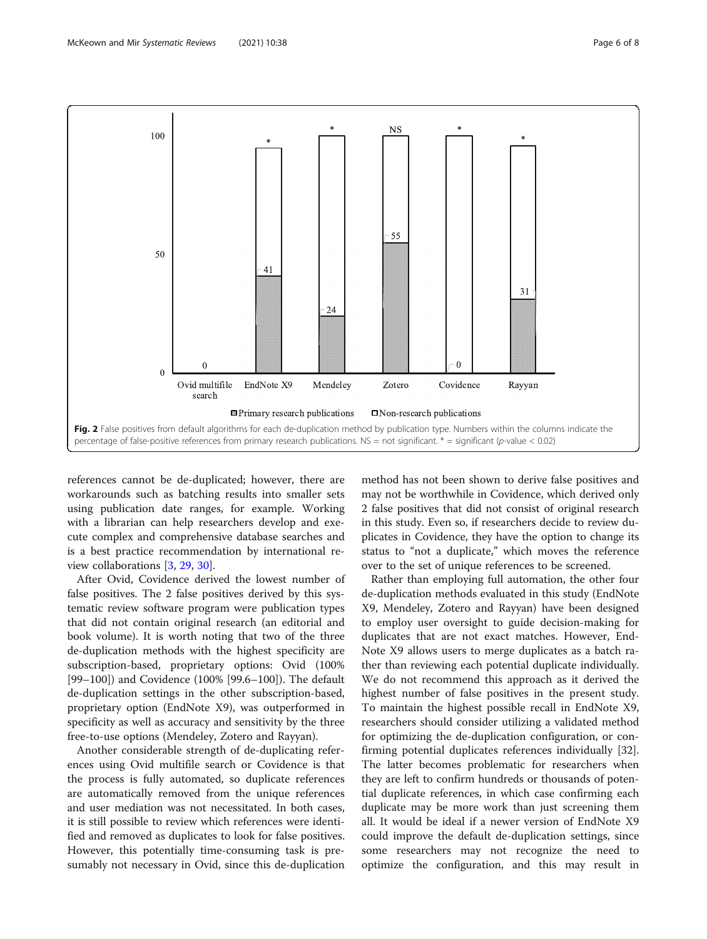<span id="page-5-0"></span>

references cannot be de-duplicated; however, there are workarounds such as batching results into smaller sets using publication date ranges, for example. Working with a librarian can help researchers develop and execute complex and comprehensive database searches and is a best practice recommendation by international review collaborations [\[3](#page-7-0), [29](#page-7-0), [30](#page-7-0)].

After Ovid, Covidence derived the lowest number of false positives. The 2 false positives derived by this systematic review software program were publication types that did not contain original research (an editorial and book volume). It is worth noting that two of the three de-duplication methods with the highest specificity are subscription-based, proprietary options: Ovid (100% [99–100]) and Covidence (100% [99.6–100]). The default de-duplication settings in the other subscription-based, proprietary option (EndNote X9), was outperformed in specificity as well as accuracy and sensitivity by the three free-to-use options (Mendeley, Zotero and Rayyan).

Another considerable strength of de-duplicating references using Ovid multifile search or Covidence is that the process is fully automated, so duplicate references are automatically removed from the unique references and user mediation was not necessitated. In both cases, it is still possible to review which references were identified and removed as duplicates to look for false positives. However, this potentially time-consuming task is presumably not necessary in Ovid, since this de-duplication

method has not been shown to derive false positives and may not be worthwhile in Covidence, which derived only 2 false positives that did not consist of original research in this study. Even so, if researchers decide to review duplicates in Covidence, they have the option to change its status to "not a duplicate," which moves the reference over to the set of unique references to be screened.

Rather than employing full automation, the other four de-duplication methods evaluated in this study (EndNote X9, Mendeley, Zotero and Rayyan) have been designed to employ user oversight to guide decision-making for duplicates that are not exact matches. However, End-Note X9 allows users to merge duplicates as a batch rather than reviewing each potential duplicate individually. We do not recommend this approach as it derived the highest number of false positives in the present study. To maintain the highest possible recall in EndNote X9, researchers should consider utilizing a validated method for optimizing the de-duplication configuration, or confirming potential duplicates references individually [32]. The latter becomes problematic for researchers when they are left to confirm hundreds or thousands of potential duplicate references, in which case confirming each duplicate may be more work than just screening them all. It would be ideal if a newer version of EndNote X9 could improve the default de-duplication settings, since some researchers may not recognize the need to optimize the configuration, and this may result in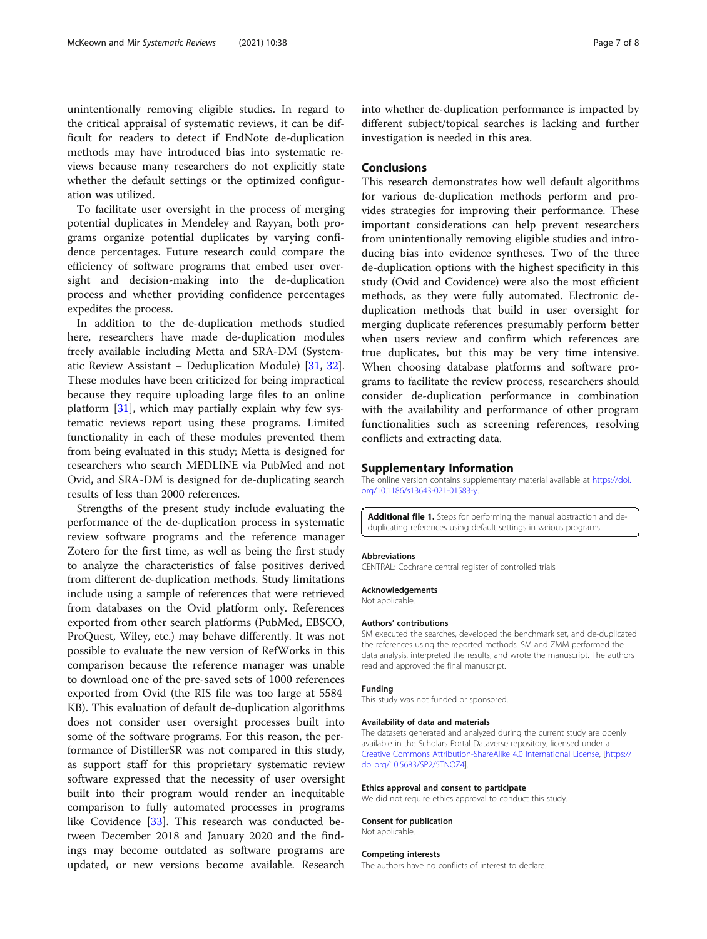<span id="page-6-0"></span>unintentionally removing eligible studies. In regard to the critical appraisal of systematic reviews, it can be difficult for readers to detect if EndNote de-duplication methods may have introduced bias into systematic reviews because many researchers do not explicitly state whether the default settings or the optimized configuration was utilized.

To facilitate user oversight in the process of merging potential duplicates in Mendeley and Rayyan, both programs organize potential duplicates by varying confidence percentages. Future research could compare the efficiency of software programs that embed user oversight and decision-making into the de-duplication process and whether providing confidence percentages expedites the process.

In addition to the de-duplication methods studied here, researchers have made de-duplication modules freely available including Metta and SRA-DM (Systematic Review Assistant – Deduplication Module) [[31,](#page-7-0) [32](#page-7-0)]. These modules have been criticized for being impractical because they require uploading large files to an online platform  $[31]$  $[31]$ , which may partially explain why few systematic reviews report using these programs. Limited functionality in each of these modules prevented them from being evaluated in this study; Metta is designed for researchers who search MEDLINE via PubMed and not Ovid, and SRA-DM is designed for de-duplicating search results of less than 2000 references.

Strengths of the present study include evaluating the performance of the de-duplication process in systematic review software programs and the reference manager Zotero for the first time, as well as being the first study to analyze the characteristics of false positives derived from different de-duplication methods. Study limitations include using a sample of references that were retrieved from databases on the Ovid platform only. References exported from other search platforms (PubMed, EBSCO, ProQuest, Wiley, etc.) may behave differently. It was not possible to evaluate the new version of RefWorks in this comparison because the reference manager was unable to download one of the pre-saved sets of 1000 references exported from Ovid (the RIS file was too large at 5584 KB). This evaluation of default de-duplication algorithms does not consider user oversight processes built into some of the software programs. For this reason, the performance of DistillerSR was not compared in this study, as support staff for this proprietary systematic review software expressed that the necessity of user oversight built into their program would render an inequitable comparison to fully automated processes in programs like Covidence [\[33\]](#page-7-0). This research was conducted between December 2018 and January 2020 and the findings may become outdated as software programs are updated, or new versions become available. Research

into whether de-duplication performance is impacted by different subject/topical searches is lacking and further investigation is needed in this area.

# Conclusions

This research demonstrates how well default algorithms for various de-duplication methods perform and provides strategies for improving their performance. These important considerations can help prevent researchers from unintentionally removing eligible studies and introducing bias into evidence syntheses. Two of the three de-duplication options with the highest specificity in this study (Ovid and Covidence) were also the most efficient methods, as they were fully automated. Electronic deduplication methods that build in user oversight for merging duplicate references presumably perform better when users review and confirm which references are true duplicates, but this may be very time intensive. When choosing database platforms and software programs to facilitate the review process, researchers should consider de-duplication performance in combination with the availability and performance of other program functionalities such as screening references, resolving conflicts and extracting data.

#### Supplementary Information

The online version contains supplementary material available at [https://doi.](https://doi.org/10.1186/s13643-021-01583-y) [org/10.1186/s13643-021-01583-y](https://doi.org/10.1186/s13643-021-01583-y).

Additional file 1. Steps for performing the manual abstraction and deduplicating references using default settings in various programs

#### Abbreviations

CENTRAL: Cochrane central register of controlled trials

#### Acknowledgements

Not applicable.

#### Authors' contributions

SM executed the searches, developed the benchmark set, and de-duplicated the references using the reported methods. SM and ZMM performed the data analysis, interpreted the results, and wrote the manuscript. The authors read and approved the final manuscript.

### Funding

This study was not funded or sponsored.

#### Availability of data and materials

The datasets generated and analyzed during the current study are openly available in the Scholars Portal Dataverse repository, licensed under a [Creative Commons Attribution-ShareAlike 4.0 International License,](http://creativecommons.org/licenses/by-sa/4.0/) [\[https://](https://doi.org/10.5683/SP2/5TNOZ4) [doi.org/10.5683/SP2/5TNOZ4\]](https://doi.org/10.5683/SP2/5TNOZ4).

#### Ethics approval and consent to participate

We did not require ethics approval to conduct this study.

#### Consent for publication Not applicable.

#### Competing interests

The authors have no conflicts of interest to declare.